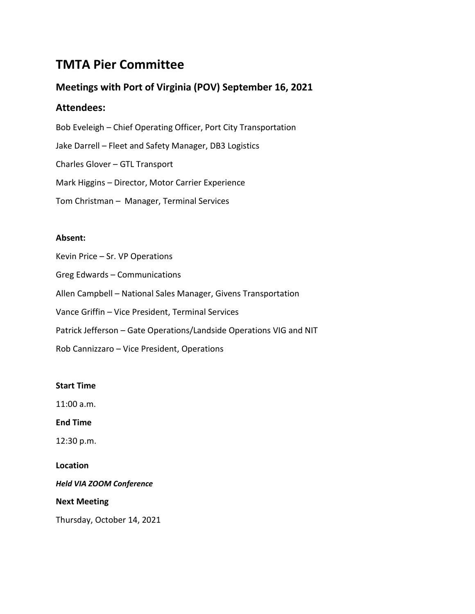# **TMTA Pier Committee**

# **Meetings with Port of Virginia (POV) September 16, 2021**

## **Attendees:**

Bob Eveleigh – Chief Operating Officer, Port City Transportation Jake Darrell – Fleet and Safety Manager, DB3 Logistics Charles Glover – GTL Transport Mark Higgins – Director, Motor Carrier Experience Tom Christman – Manager, Terminal Services

### **Absent:**

Kevin Price – Sr. VP Operations

Greg Edwards – Communications

Allen Campbell – National Sales Manager, Givens Transportation

Vance Griffin – Vice President, Terminal Services

Patrick Jefferson – Gate Operations/Landside Operations VIG and NIT

Rob Cannizzaro – Vice President, Operations

### **Start Time**

11:00 a.m.

**End Time**

12:30 p.m.

**Location**

*Held VIA ZOOM Conference*

**Next Meeting**

Thursday, October 14, 2021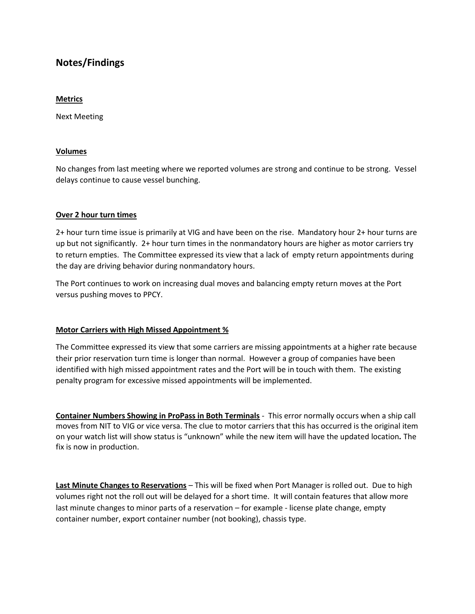# **Notes/Findings**

#### **Metrics**

Next Meeting

#### **Volumes**

No changes from last meeting where we reported volumes are strong and continue to be strong. Vessel delays continue to cause vessel bunching.

#### **Over 2 hour turn times**

2+ hour turn time issue is primarily at VIG and have been on the rise. Mandatory hour 2+ hour turns are up but not significantly. 2+ hour turn times in the nonmandatory hours are higher as motor carriers try to return empties. The Committee expressed its view that a lack of empty return appointments during the day are driving behavior during nonmandatory hours.

The Port continues to work on increasing dual moves and balancing empty return moves at the Port versus pushing moves to PPCY.

#### **Motor Carriers with High Missed Appointment %**

The Committee expressed its view that some carriers are missing appointments at a higher rate because their prior reservation turn time is longer than normal. However a group of companies have been identified with high missed appointment rates and the Port will be in touch with them. The existing penalty program for excessive missed appointments will be implemented.

**Container Numbers Showing in ProPass in Both Terminals** - This error normally occurs when a ship call moves from NIT to VIG or vice versa. The clue to motor carriers that this has occurred is the original item on your watch list will show status is "unknown" while the new item will have the updated location*.* The fix is now in production.

**Last Minute Changes to Reservations** – This will be fixed when Port Manager is rolled out. Due to high volumes right not the roll out will be delayed for a short time. It will contain features that allow more last minute changes to minor parts of a reservation – for example - license plate change, empty container number, export container number (not booking), chassis type.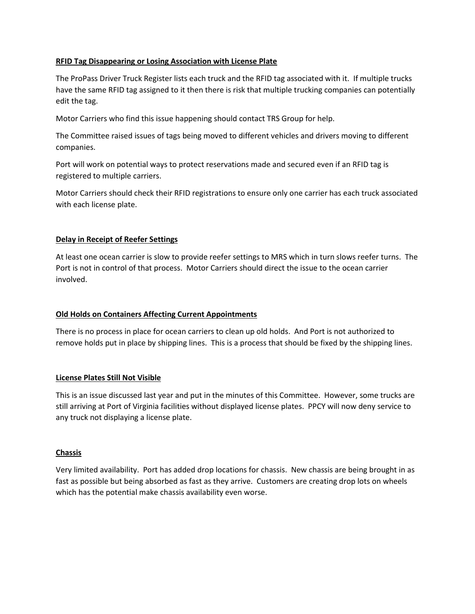#### **RFID Tag Disappearing or Losing Association with License Plate**

The ProPass Driver Truck Register lists each truck and the RFID tag associated with it. If multiple trucks have the same RFID tag assigned to it then there is risk that multiple trucking companies can potentially edit the tag.

Motor Carriers who find this issue happening should contact TRS Group for help.

The Committee raised issues of tags being moved to different vehicles and drivers moving to different companies.

Port will work on potential ways to protect reservations made and secured even if an RFID tag is registered to multiple carriers.

Motor Carriers should check their RFID registrations to ensure only one carrier has each truck associated with each license plate.

#### **Delay in Receipt of Reefer Settings**

At least one ocean carrier is slow to provide reefer settings to MRS which in turn slows reefer turns. The Port is not in control of that process. Motor Carriers should direct the issue to the ocean carrier involved.

#### **Old Holds on Containers Affecting Current Appointments**

There is no process in place for ocean carriers to clean up old holds. And Port is not authorized to remove holds put in place by shipping lines. This is a process that should be fixed by the shipping lines.

#### **License Plates Still Not Visible**

This is an issue discussed last year and put in the minutes of this Committee. However, some trucks are still arriving at Port of Virginia facilities without displayed license plates. PPCY will now deny service to any truck not displaying a license plate.

#### **Chassis**

Very limited availability. Port has added drop locations for chassis. New chassis are being brought in as fast as possible but being absorbed as fast as they arrive. Customers are creating drop lots on wheels which has the potential make chassis availability even worse.